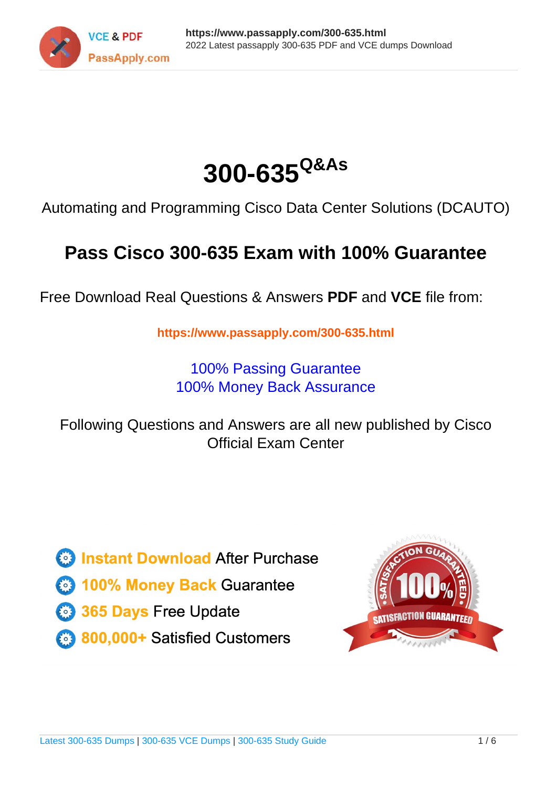



Automating and Programming Cisco Data Center Solutions (DCAUTO)

# **Pass Cisco 300-635 Exam with 100% Guarantee**

Free Download Real Questions & Answers **PDF** and **VCE** file from:

**https://www.passapply.com/300-635.html**

100% Passing Guarantee 100% Money Back Assurance

Following Questions and Answers are all new published by Cisco Official Exam Center

**C** Instant Download After Purchase **83 100% Money Back Guarantee** 

- 365 Days Free Update
- 800,000+ Satisfied Customers

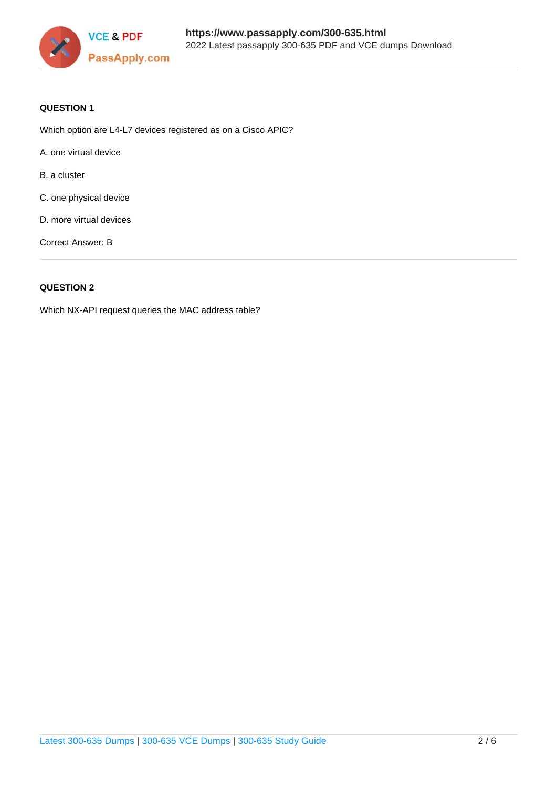

### **QUESTION 1**

Which option are L4-L7 devices registered as on a Cisco APIC?

- A. one virtual device
- B. a cluster
- C. one physical device
- D. more virtual devices

Correct Answer: B

### **QUESTION 2**

Which NX-API request queries the MAC address table?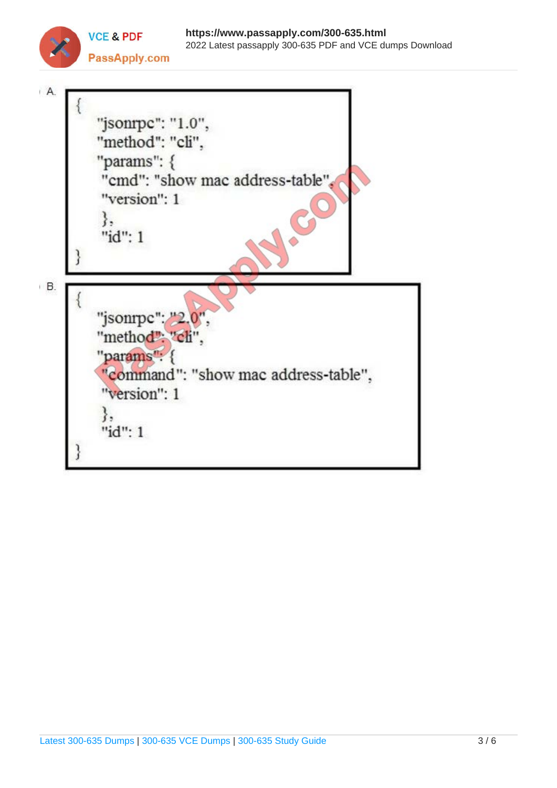

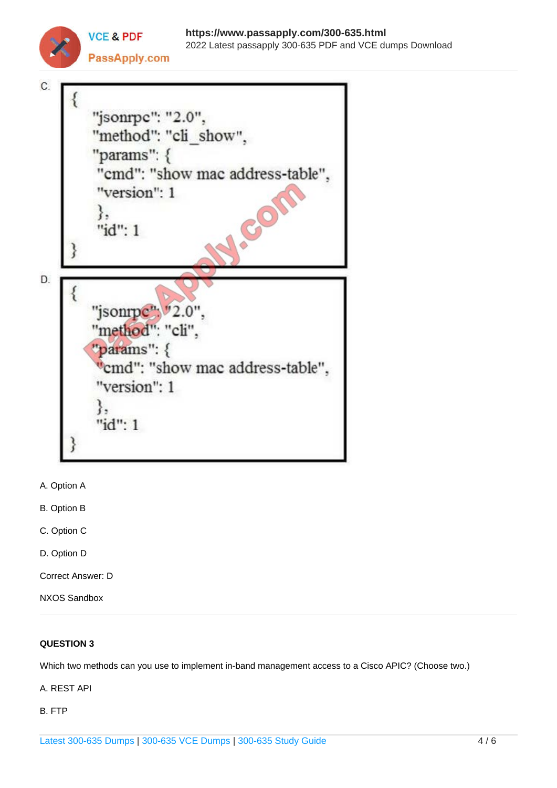



**VCE & PDF** 

- A. Option A
- B. Option B
- C. Option C
- D. Option D
- Correct Answer: D
- NXOS Sandbox

### **QUESTION 3**

Which two methods can you use to implement in-band management access to a Cisco APIC? (Choose two.)

A. REST API

B. FTP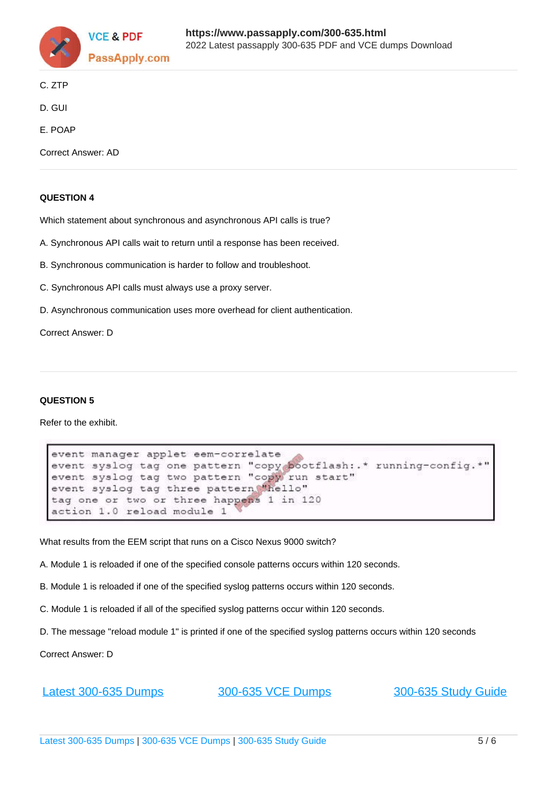

- C. ZTP
- D. GUI
- E. POAP

Correct Answer: AD

### **QUESTION 4**

Which statement about synchronous and asynchronous API calls is true?

- A. Synchronous API calls wait to return until a response has been received.
- B. Synchronous communication is harder to follow and troubleshoot.
- C. Synchronous API calls must always use a proxy server.
- D. Asynchronous communication uses more overhead for client authentication.

Correct Answer: D

### **QUESTION 5**

Refer to the exhibit.

```
event manager applet eem-correlate
event syslog tag one pattern "copy bootflash:.* running-config.*"
event syslog tag two pattern "copy run start"
event syslog tag three pattern "hello"
tag one or two or three happens 1 in 120
action 1.0 reload module 1
```
What results from the EEM script that runs on a Cisco Nexus 9000 switch?

- A. Module 1 is reloaded if one of the specified console patterns occurs within 120 seconds.
- B. Module 1 is reloaded if one of the specified syslog patterns occurs within 120 seconds.
- C. Module 1 is reloaded if all of the specified syslog patterns occur within 120 seconds.
- D. The message "reload module 1" is printed if one of the specified syslog patterns occurs within 120 seconds

Correct Answer: D

[Latest 300-635 Dumps](https://www.passapply.com/300-635.html) [300-635 VCE Dumps](https://www.passapply.com/300-635.html) [300-635 Study Guide](https://www.passapply.com/300-635.html)